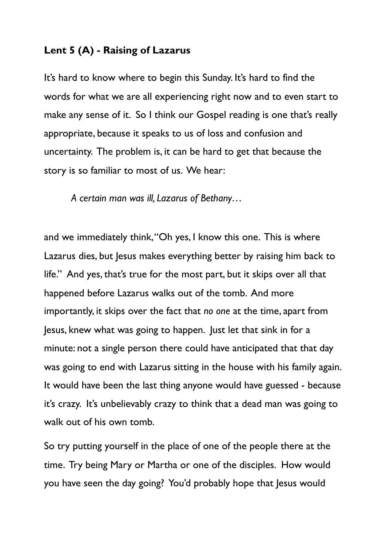## **Lent 5 (A) - Raising of Lazarus**

It's hard to know where to begin this Sunday. It's hard to find the words for what we are all experiencing right now and to even start to make any sense of it. So I think our Gospel reading is one that's really appropriate, because it speaks to us of loss and confusion and uncertainty. The problem is, it can be hard to get that because the story is so familiar to most of us. We hear:

*A certain man was ill, Lazarus of Bethany…* 

and we immediately think, "Oh yes, I know this one. This is where Lazarus dies, but Jesus makes everything better by raising him back to life." And yes, that's true for the most part, but it skips over all that happened before Lazarus walks out of the tomb. And more importantly, it skips over the fact that *no one* at the time, apart from Jesus, knew what was going to happen. Just let that sink in for a minute: not a single person there could have anticipated that that day was going to end with Lazarus sitting in the house with his family again. It would have been the last thing anyone would have guessed - because it's crazy. It's unbelievably crazy to think that a dead man was going to walk out of his own tomb.

So try putting yourself in the place of one of the people there at the time. Try being Mary or Martha or one of the disciples. How would you have seen the day going? You'd probably hope that Jesus would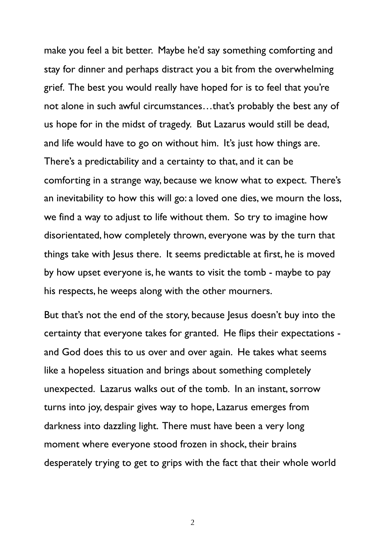make you feel a bit better. Maybe he'd say something comforting and stay for dinner and perhaps distract you a bit from the overwhelming grief. The best you would really have hoped for is to feel that you're not alone in such awful circumstances…that's probably the best any of us hope for in the midst of tragedy. But Lazarus would still be dead, and life would have to go on without him. It's just how things are. There's a predictability and a certainty to that, and it can be comforting in a strange way, because we know what to expect. There's an inevitability to how this will go: a loved one dies, we mourn the loss, we find a way to adjust to life without them. So try to imagine how disorientated, how completely thrown, everyone was by the turn that things take with Jesus there. It seems predictable at first, he is moved by how upset everyone is, he wants to visit the tomb - maybe to pay his respects, he weeps along with the other mourners.

But that's not the end of the story, because Jesus doesn't buy into the certainty that everyone takes for granted. He flips their expectations and God does this to us over and over again. He takes what seems like a hopeless situation and brings about something completely unexpected. Lazarus walks out of the tomb. In an instant, sorrow turns into joy, despair gives way to hope, Lazarus emerges from darkness into dazzling light. There must have been a very long moment where everyone stood frozen in shock, their brains desperately trying to get to grips with the fact that their whole world

 $\overline{\mathcal{L}}$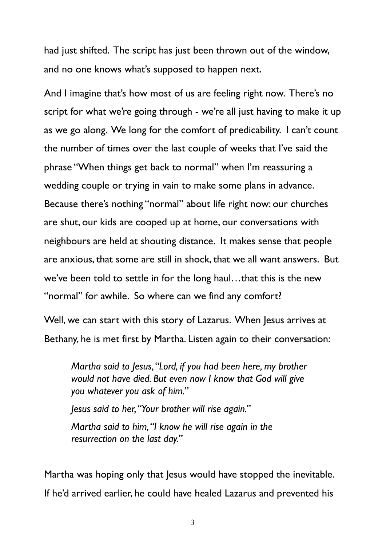had just shifted. The script has just been thrown out of the window, and no one knows what's supposed to happen next.

And I imagine that's how most of us are feeling right now. There's no script for what we're going through - we're all just having to make it up as we go along. We long for the comfort of predicability. I can't count the number of times over the last couple of weeks that I've said the phrase "When things get back to normal" when I'm reassuring a wedding couple or trying in vain to make some plans in advance. Because there's nothing "normal" about life right now: our churches are shut, our kids are cooped up at home, our conversations with neighbours are held at shouting distance. It makes sense that people are anxious, that some are still in shock, that we all want answers. But we've been told to settle in for the long haul…that this is the new "normal" for awhile. So where can we find any comfort?

Well, we can start with this story of Lazarus. When Jesus arrives at Bethany, he is met first by Martha. Listen again to their conversation:

*Martha said to Jesus, "Lord, if you had been here, my brother would not have died. But even now I know that God will give you whatever you ask of him."* 

*Jesus said to her, "Your brother will rise again." Martha said to him, "I know he will rise again in the resurrection on the last day."* 

Martha was hoping only that Jesus would have stopped the inevitable. If he'd arrived earlier, he could have healed Lazarus and prevented his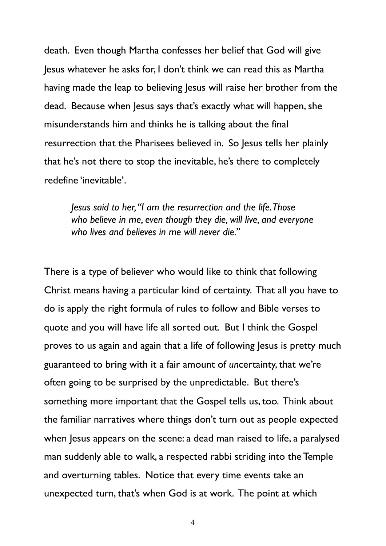death. Even though Martha confesses her belief that God will give Jesus whatever he asks for, I don't think we can read this as Martha having made the leap to believing lesus will raise her brother from the dead. Because when Jesus says that's exactly what will happen, she misunderstands him and thinks he is talking about the final resurrection that the Pharisees believed in. So Jesus tells her plainly that he's not there to stop the inevitable, he's there to completely redefine 'inevitable'.

*Jesus said to her, "I am the resurrection and the life. Those who believe in me, even though they die, will live, and everyone who lives and believes in me will never die."* 

There is a type of believer who would like to think that following Christ means having a particular kind of certainty. That all you have to do is apply the right formula of rules to follow and Bible verses to quote and you will have life all sorted out. But I think the Gospel proves to us again and again that a life of following Jesus is pretty much guaranteed to bring with it a fair amount of *un*certainty, that we're often going to be surprised by the unpredictable. But there's something more important that the Gospel tells us, too. Think about the familiar narratives where things don't turn out as people expected when Jesus appears on the scene: a dead man raised to life, a paralysed man suddenly able to walk, a respected rabbi striding into the Temple and overturning tables. Notice that every time events take an unexpected turn, that's when God is at work. The point at which

4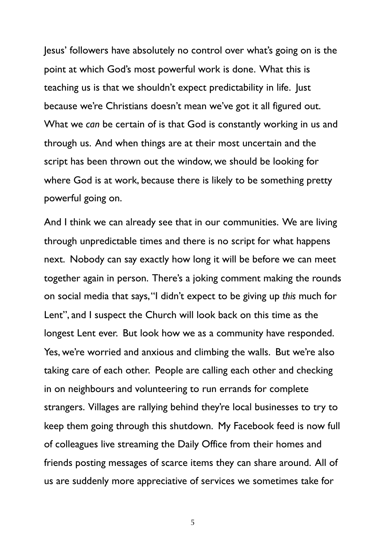Jesus' followers have absolutely no control over what's going on is the point at which God's most powerful work is done. What this is teaching us is that we shouldn't expect predictability in life. Just because we're Christians doesn't mean we've got it all figured out. What we *can* be certain of is that God is constantly working in us and through us. And when things are at their most uncertain and the script has been thrown out the window, we should be looking for where God is at work, because there is likely to be something pretty powerful going on.

And I think we can already see that in our communities. We are living through unpredictable times and there is no script for what happens next. Nobody can say exactly how long it will be before we can meet together again in person. There's a joking comment making the rounds on social media that says, "I didn't expect to be giving up *this* much for Lent", and I suspect the Church will look back on this time as the longest Lent ever. But look how we as a community have responded. Yes, we're worried and anxious and climbing the walls. But we're also taking care of each other. People are calling each other and checking in on neighbours and volunteering to run errands for complete strangers. Villages are rallying behind they're local businesses to try to keep them going through this shutdown. My Facebook feed is now full of colleagues live streaming the Daily Office from their homes and friends posting messages of scarce items they can share around. All of us are suddenly more appreciative of services we sometimes take for

5